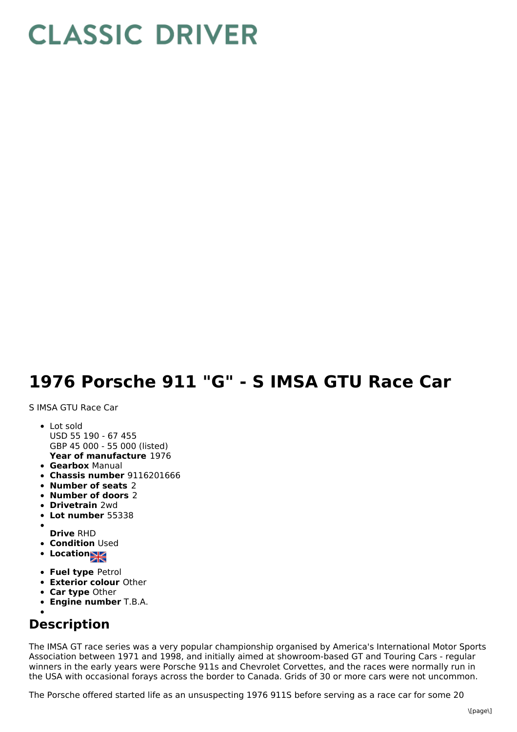## **CLASSIC DRIVER**

## **1976 Porsche 911 "G" - S IMSA GTU Race Car**

S IMSA GTU Race Car

- **Year of manufacture** 1976 • Lot sold USD 55 190 - 67 455 GBP 45 000 - 55 000 (listed)
- **Gearbox** Manual
- **Chassis number** 9116201666
- **Number of seats** 2
- **Number of doors** 2
- **Drivetrain** 2wd
- **Lot number** 55338
- 
- **Drive** RHD **• Condition Used**
- Location<sub>NA</sub>
- **Fuel type** Petrol
- **Exterior colour** Other
- **Car type** Other
- **Engine number** T.B.A.

## **Description**

The IMSA GT race series was a very popular championship organised by America's International Motor Sports Association between 1971 and 1998, and initially aimed at showroom-based GT and Touring Cars - regular winners in the early years were Porsche 911s and Chevrolet Corvettes, and the races were normally run in the USA with occasional forays across the border to Canada. Grids of 30 or more cars were not uncommon.

The Porsche offered started life as an unsuspecting 1976 911S before serving as a race car for some 20